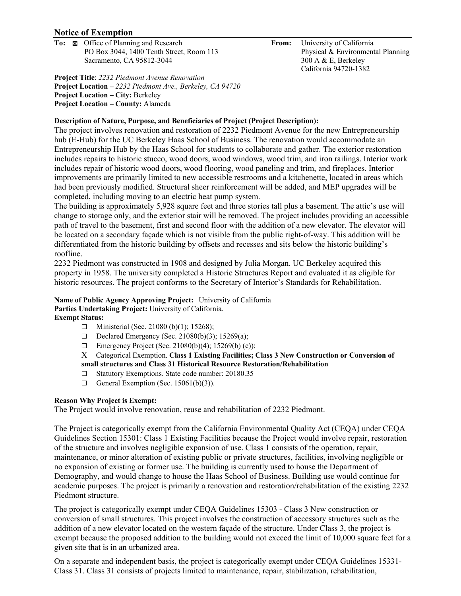## **Notice of Exemption**

**To:** ☒Office of Planning and Research **From:** University of California PO Box 3044, 1400 Tenth Street, Room 113 Physical & Environmental Planning Sacramento, CA 95812-3044 300 A & E, Berkeley

**Project Title**: *2232 Piedmont Avenue Renovation*  **Project Location –** *2232 Piedmont Ave., Berkeley, CA 94720*  **Project Location – City:** Berkeley **Project Location – County:** Alameda

## **Description of Nature, Purpose, and Beneficiaries of Project (Project Description):**

The project involves renovation and restoration of 2232 Piedmont Avenue for the new Entrepreneurship hub (E-Hub) for the UC Berkeley Haas School of Business. The renovation would accommodate an Entrepreneurship Hub by the Haas School for students to collaborate and gather. The exterior restoration includes repairs to historic stucco, wood doors, wood windows, wood trim, and iron railings. Interior work includes repair of historic wood doors, wood flooring, wood paneling and trim, and fireplaces. Interior improvements are primarily limited to new accessible restrooms and a kitchenette, located in areas which had been previously modified. Structural sheer reinforcement will be added, and MEP upgrades will be completed, including moving to an electric heat pump system.

The building is approximately 5,928 square feet and three stories tall plus a basement. The attic's use will change to storage only, and the exterior stair will be removed. The project includes providing an accessible path of travel to the basement, first and second floor with the addition of a new elevator. The elevator will be located on a secondary façade which is not visible from the public right-of-way. This addition will be differentiated from the historic building by offsets and recesses and sits below the historic building's roofline.

2232 Piedmont was constructed in 1908 and designed by Julia Morgan. UC Berkeley acquired this property in 1958. The university completed a Historic Structures Report and evaluated it as eligible for historic resources. The project conforms to the Secretary of Interior's Standards for Rehabilitation.

**Name of Public Agency Approving Project:** University of California **Parties Undertaking Project:** University of California.

## **Exempt Status:**

- $\Box$  Ministerial (Sec. 21080 (b)(1); 15268);
- $\Box$  Declared Emergency (Sec. 21080(b)(3); 15269(a);
- $\Box$  Emergency Project (Sec. 21080(b)(4); 15269(b) (c));

X Categorical Exemption. **Class 1 Existing Facilities; Class 3 New Construction or Conversion of small structures and Class 31 Historical Resource Restoration/Rehabilitation** 

- ⬜ Statutory Exemptions. State code number: 20180.35
- $\Box$  General Exemption (Sec. 15061(b)(3)).

## **Reason Why Project is Exempt:**

The Project would involve renovation, reuse and rehabilitation of 2232 Piedmont.

The Project is categorically exempt from the California Environmental Quality Act (CEQA) under CEQA Guidelines Section 15301: Class 1 Existing Facilities because the Project would involve repair, restoration of the structure and involves negligible expansion of use. Class 1 consists of the operation, repair, maintenance, or minor alteration of existing public or private structures, facilities, involving negligible or no expansion of existing or former use. The building is currently used to house the Department of Demography, and would change to house the Haas School of Business. Building use would continue for academic purposes. The project is primarily a renovation and restoration/rehabilitation of the existing 2232 Piedmont structure.

The project is categorically exempt under CEQA Guidelines 15303 - Class 3 New construction or conversion of small structures. This project involves the construction of accessory structures such as the addition of a new elevator located on the western façade of the structure. Under Class 3, the project is exempt because the proposed addition to the building would not exceed the limit of 10,000 square feet for a given site that is in an urbanized area.

On a separate and independent basis, the project is categorically exempt under CEQA Guidelines 15331- Class 31. Class 31 consists of projects limited to maintenance, repair, stabilization, rehabilitation,

California 94720-1382